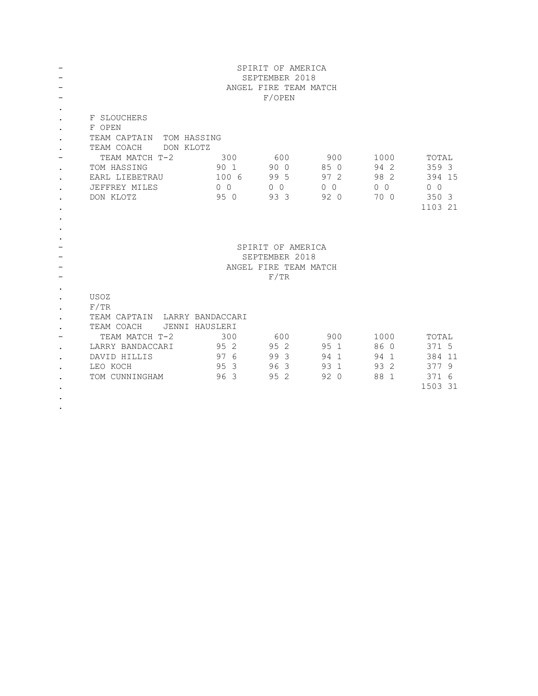|                                                  |                                                                                                                                                                   |                                            | SPIRIT OF AMERICA<br>SEPTEMBER 2018<br>ANGEL FIRE TEAM MATCH<br>F/OPEN |                                               |                                            |                                                                |
|--------------------------------------------------|-------------------------------------------------------------------------------------------------------------------------------------------------------------------|--------------------------------------------|------------------------------------------------------------------------|-----------------------------------------------|--------------------------------------------|----------------------------------------------------------------|
| $\bullet$<br>$\bullet$<br>$\bullet$<br>$\bullet$ | F SLOUCHERS<br>F OPEN<br>TEAM CAPTAIN<br>TOM HASSING<br>TEAM COACH<br>DON KLOTZ<br>TEAM MATCH T-2<br>TOM HASSING<br>EARL LIEBETRAU<br>JEFFREY MILES<br>DON KLOTZ  | 300<br>90 1<br>100 6<br>$0\quad 0$<br>95 0 | 600<br>90 0<br>99 5<br>0 <sub>0</sub><br>93 3                          | 900<br>85 0<br>97 2<br>0 <sub>0</sub><br>92 0 | 1000<br>94 2<br>98 2<br>$0\quad 0$<br>70 0 | TOTAL<br>359 3<br>394 15<br>0 <sub>0</sub><br>350 3<br>1103 21 |
| $\bullet$                                        |                                                                                                                                                                   |                                            | SPIRIT OF AMERICA<br>SEPTEMBER 2018<br>ANGEL FIRE TEAM MATCH<br>F/TR   |                                               |                                            |                                                                |
| $\bullet$<br>$\bullet$                           | USOZ<br>F/TR<br>TEAM CAPTAIN LARRY BANDACCARI<br>TEAM COACH<br>JENNI HAUSLERI<br>TEAM MATCH T-2<br>LARRY BANDACCARI<br>DAVID HILLIS<br>LEO KOCH<br>TOM CUNNINGHAM | 300<br>95 2<br>97 6<br>95 3<br>96 3        | 600<br>95 2<br>99 3<br>96 3<br>95 2                                    | 900<br>95 1<br>94 1<br>93 1<br>920            | 1000<br>86 0<br>94 1<br>93 2<br>88 1       | TOTAL<br>371 5<br>384 11<br>377 9<br>371 6<br>1503 31          |

.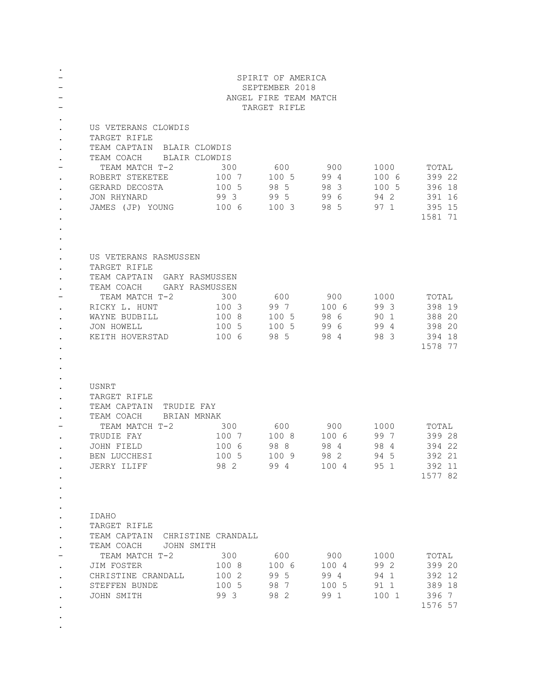|                                                                            |                                                                                                                                                                                               |                                              | SPIRIT OF AMERICA<br>SEPTEMBER 2018<br>ANGEL FIRE TEAM MATCH<br>TARGET RIFLE |                                      |                                        |                                                          |
|----------------------------------------------------------------------------|-----------------------------------------------------------------------------------------------------------------------------------------------------------------------------------------------|----------------------------------------------|------------------------------------------------------------------------------|--------------------------------------|----------------------------------------|----------------------------------------------------------|
| $\bullet$<br>$\bullet$<br>$\bullet$<br>$\bullet$<br>$\bullet$<br>$\bullet$ | US VETERANS CLOWDIS<br>TARGET RIFLE<br>TEAM CAPTAIN BLAIR CLOWDIS<br>TEAM COACH BLAIR CLOWDIS<br>ТЕАМ МАТСН Т-2<br>ROBERT STEKETEE 100 7<br>GERARD DECOSTA<br>JON RHYNARD<br>JAMES (JP) YOUNG | 300<br>100 5<br>993<br>1006 1003             | 600<br>100 5 99 4<br>98 5<br>995                                             | 900<br>983<br>996<br>985             | 1000<br>100 6<br>100 5<br>94 2<br>97 1 | TOTAL<br>399 22<br>396 18<br>391 16<br>395 15<br>1581 71 |
| $\bullet$<br>$\bullet$<br>$\bullet$<br>$\bullet$                           | US VETERANS RASMUSSEN<br>TARGET RIFLE<br>TEAM CAPTAIN GARY RASMUSSEN<br>TEAM COACH GARY RASMUSSEN<br>ТЕАМ МАТСН Т-2<br>RICKY L. HUNT<br>WAYNE BUDBILL<br>JON HOWELL<br>KEITH HOVERSTAD        | 300<br>100 3<br>100 8<br>100 5<br>100 6      | 600<br>997<br>100 5<br>100 5<br>985                                          | 900<br>100 6<br>986<br>996<br>984    | 1000<br>993<br>90 1<br>99 4<br>98 3    | TOTAL<br>398 19<br>388 20<br>398 20<br>394 18<br>1578 77 |
| $\bullet$<br>$\bullet$                                                     | USNRT<br>TARGET RIFLE<br>TEAM CAPTAIN TRUDIE FAY<br>TEAM COACH<br>BRIAN MRNAK<br>TEAM MATCH T-2<br>TRUDIE FAY<br>JOHN FIELD<br>BEN LUCCHESI<br>JERRY ILIFF                                    | 300<br>100 7 100 8<br>100 6<br>100 5<br>98 2 | 600<br>988<br>100 9<br>994                                                   | 900<br>100 6<br>984<br>98 2<br>100 4 | 1000<br>997<br>984<br>94 5<br>95 1     | TOTAL<br>399 28<br>394 22<br>392 21<br>392 11<br>1577 82 |
| $\bullet$<br>$\bullet$<br>$\bullet$<br>$\bullet$                           | IDAHO<br>TARGET RIFLE<br>TEAM CAPTAIN CHRISTINE CRANDALL<br>TEAM COACH<br>JOHN SMITH<br>TEAM MATCH T-2<br>JIM FOSTER<br>CHRISTINE CRANDALL<br>STEFFEN BUNDE<br>JOHN SMITH                     | 300<br>100 8<br>100 2<br>100 5<br>993        | 600<br>100 6<br>99 5<br>98 7<br>98 2                                         | 900<br>100 4<br>994<br>100 5<br>99 1 | 1000<br>99 2<br>941<br>91 1<br>100 1   | TOTAL<br>399 20<br>392 12<br>389 18<br>396 7<br>1576 57  |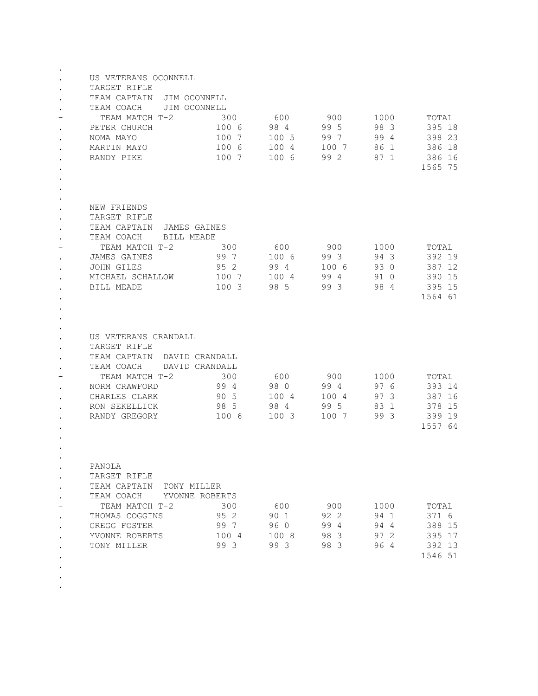| $\bullet$<br>$\bullet$ | US VETERANS OCONNELL<br>TARGET RIFLE<br>TEAM CAPTAIN JIM OCONNELL<br>TEAM COACH JIM OCONNELL<br>TEAM MATCH T-2<br>PETER CHURCH<br>NOMA MAYO<br>MARTIN MAYO<br>RANDY PIKE                       | 300<br>100 6<br>100 7<br>100 6<br>100 7 | 600<br>98 4<br>100 5<br>100 4<br>100 6      | 900<br>995<br>997<br>100 7<br>99 2  | 1000<br>98 3<br>99 4<br>86 1<br>87 1 | TOTAL<br>395 18<br>398 23<br>386 18<br>386 16<br>1565 75 |
|------------------------|------------------------------------------------------------------------------------------------------------------------------------------------------------------------------------------------|-----------------------------------------|---------------------------------------------|-------------------------------------|--------------------------------------|----------------------------------------------------------|
| $\bullet$              | NEW FRIENDS<br>TARGET RIFLE<br>TEAM CAPTAIN JAMES GAINES<br>TEAM COACH BILL MEADE<br>300<br>TEAM MATCH T-2<br><b>JAMES GAINES</b><br><b>JOHN GILES</b><br>MICHAEL SCHALLOW 100 7<br>BILL MEADE | 99 7<br>95 2<br>100 3                   | 600 900<br>1006 993<br>994<br>100 4<br>98 5 | 100 6<br>99 4<br>993                | 1000<br>943<br>93 0<br>91 0<br>98 4  | TOTAL<br>392 19<br>387 12<br>390 15<br>395 15<br>1564 61 |
| $\bullet$<br>$\bullet$ | US VETERANS CRANDALL<br>TARGET RIFLE<br>TEAM CAPTAIN DAVID CRANDALL<br>TEAM COACH<br>DAVID CRANDALL<br>TEAM MATCH T-2<br>NORM CRAWFORD<br>CHARLES CLARK<br>RON SEKELLICK<br>RANDY GREGORY      | 300<br>994<br>90 5<br>985<br>100 6      | 600<br>98 0<br>100 4<br>984<br>100 3        | 900<br>994<br>100 4<br>995<br>100 7 | 1000<br>97 6<br>97 3<br>83 1<br>99 3 | TOTAL<br>393 14<br>387 16<br>378 15<br>399 19<br>1557 64 |
|                        | PANOLA<br>TARGET RIFLE<br>TEAM CAPTAIN<br>TONY MILLER<br>TEAM COACH<br>YVONNE ROBERTS<br>TEAM MATCH T-2<br>THOMAS COGGINS<br>GREGG FOSTER<br>YVONNE ROBERTS<br>TONY MILLER                     | 300<br>95 2<br>99 7<br>100 4<br>99 3    | 600<br>90 1<br>96 O<br>100 8<br>99 3        | 900<br>92 2<br>99 4<br>98 3<br>98 3 | 1000<br>94 1<br>94 4<br>97 2<br>964  | TOTAL<br>371 6<br>388 15<br>395 17<br>392 13<br>1546 51  |

- . .
- .
-